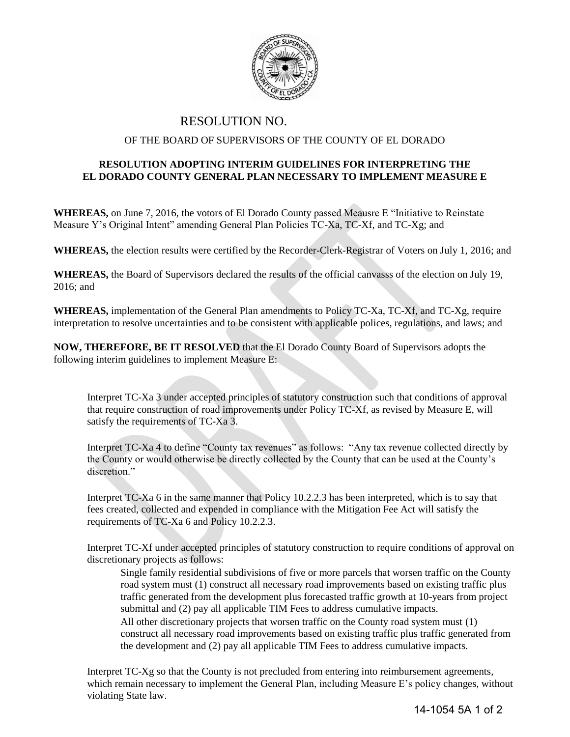

## RESOLUTION NO.

## OF THE BOARD OF SUPERVISORS OF THE COUNTY OF EL DORADO

## **RESOLUTION ADOPTING INTERIM GUIDELINES FOR INTERPRETING THE EL DORADO COUNTY GENERAL PLAN NECESSARY TO IMPLEMENT MEASURE E**

**WHEREAS,** on June 7, 2016, the votors of El Dorado County passed Meausre E "Initiative to Reinstate Measure Y's Original Intent" amending General Plan Policies TC-Xa, TC-Xf, and TC-Xg; and

**WHEREAS,** the election results were certified by the Recorder-Clerk-Registrar of Voters on July 1, 2016; and

**WHEREAS,** the Board of Supervisors declared the results of the official canvasss of the election on July 19, 2016; and

**WHEREAS,** implementation of the General Plan amendments to Policy TC-Xa, TC-Xf, and TC-Xg, require interpretation to resolve uncertainties and to be consistent with applicable polices, regulations, and laws; and

**NOW, THEREFORE, BE IT RESOLVED** that the El Dorado County Board of Supervisors adopts the following interim guidelines to implement Measure E:

Interpret TC-Xa 3 under accepted principles of statutory construction such that conditions of approval that require construction of road improvements under Policy TC-Xf, as revised by Measure E, will satisfy the requirements of TC-Xa 3.

Interpret TC-Xa 4 to define "County tax revenues" as follows: "Any tax revenue collected directly by the County or would otherwise be directly collected by the County that can be used at the County's discretion."

Interpret TC-Xa 6 in the same manner that Policy 10.2.2.3 has been interpreted, which is to say that fees created, collected and expended in compliance with the Mitigation Fee Act will satisfy the requirements of TC-Xa 6 and Policy 10.2.2.3.

Interpret TC-Xf under accepted principles of statutory construction to require conditions of approval on discretionary projects as follows:

Single family residential subdivisions of five or more parcels that worsen traffic on the County road system must (1) construct all necessary road improvements based on existing traffic plus traffic generated from the development plus forecasted traffic growth at 10-years from project submittal and (2) pay all applicable TIM Fees to address cumulative impacts. All other discretionary projects that worsen traffic on the County road system must (1) construct all necessary road improvements based on existing traffic plus traffic generated from the development and (2) pay all applicable TIM Fees to address cumulative impacts.

Interpret TC-Xg so that the County is not precluded from entering into reimbursement agreements, which remain necessary to implement the General Plan, including Measure E's policy changes, without violating State law.

14-1054 5A 1 of 2